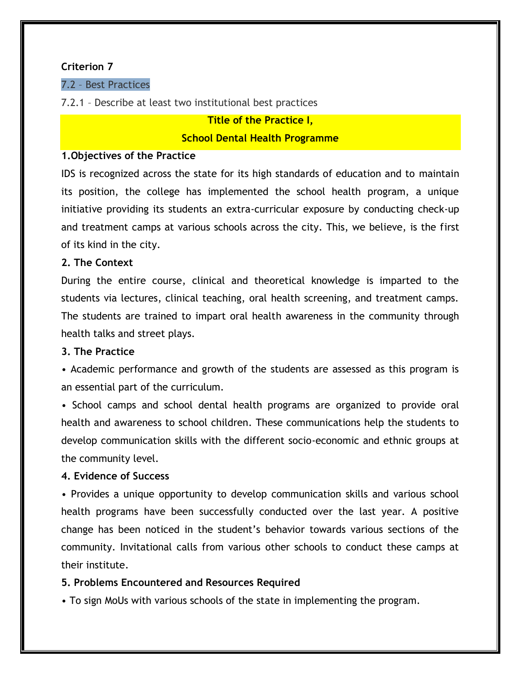## **Criterion 7**

## 7.2 – Best Practices

## 7.2.1 – Describe at least two institutional best practices

#### **Title of the Practice I,**

#### **School Dental Health Programme**

## **1.Objectives of the Practice**

IDS is recognized across the state for its high standards of education and to maintain its position, the college has implemented the school health program, a unique initiative providing its students an extra-curricular exposure by conducting check-up and treatment camps at various schools across the city. This, we believe, is the first of its kind in the city.

#### **2. The Context**

During the entire course, clinical and theoretical knowledge is imparted to the students via lectures, clinical teaching, oral health screening, and treatment camps. The students are trained to impart oral health awareness in the community through health talks and street plays.

# **3. The Practice**

• Academic performance and growth of the students are assessed as this program is an essential part of the curriculum.

• School camps and school dental health programs are organized to provide oral health and awareness to school children. These communications help the students to develop communication skills with the different socio-economic and ethnic groups at the community level.

# **4. Evidence of Success**

• Provides a unique opportunity to develop communication skills and various school health programs have been successfully conducted over the last year. A positive change has been noticed in the student's behavior towards various sections of the community. Invitational calls from various other schools to conduct these camps at their institute.

# **5. Problems Encountered and Resources Required**

• To sign MoUs with various schools of the state in implementing the program.